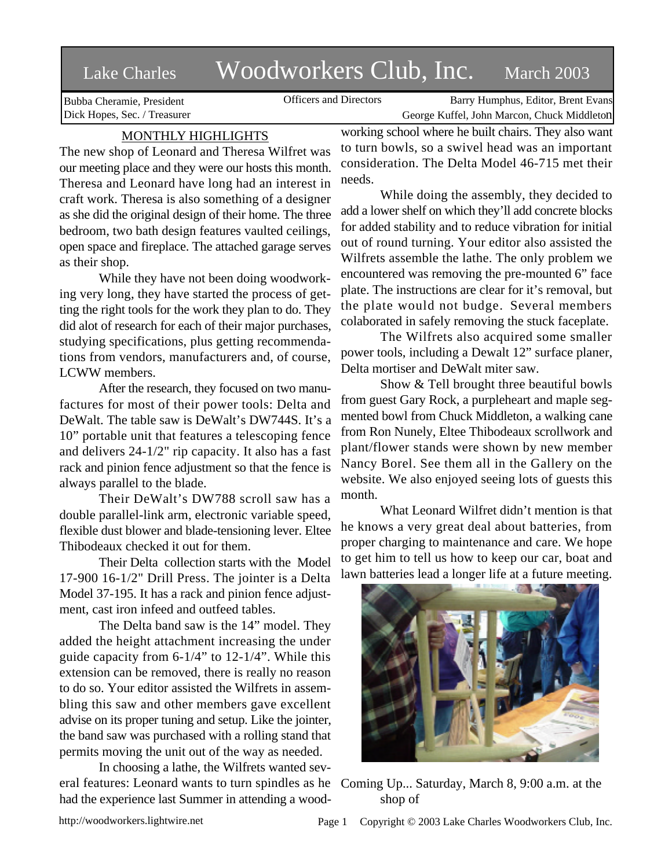## Lake Charles Woodworkers Club, Inc. March 2003

Bubba Cheramie, President Dick Hopes, Sec. / Treasurer

Officers and Directors Barry Humphus, Editor, Brent Evans George Kuffel, John Marcon, Chuck Middleton

## MONTHLY HIGHLIGHTS

The new shop of Leonard and Theresa Wilfret was our meeting place and they were our hosts this month. Theresa and Leonard have long had an interest in craft work. Theresa is also something of a designer as she did the original design of their home. The three bedroom, two bath design features vaulted ceilings, open space and fireplace. The attached garage serves as their shop.

While they have not been doing woodworking very long, they have started the process of getting the right tools for the work they plan to do. They did alot of research for each of their major purchases, studying specifications, plus getting recommendations from vendors, manufacturers and, of course, LCWW members.

After the research, they focused on two manufactures for most of their power tools: Delta and DeWalt. The table saw is DeWalt's DW744S. It's a 10" portable unit that features a telescoping fence and delivers 24-1/2" rip capacity. It also has a fast rack and pinion fence adjustment so that the fence is always parallel to the blade.

Their DeWalt's DW788 scroll saw has a double parallel-link arm, electronic variable speed, flexible dust blower and blade-tensioning lever. Eltee Thibodeaux checked it out for them.

Their Delta collection starts with the Model 17-900 16-1/2" Drill Press. The jointer is a Delta Model 37-195. It has a rack and pinion fence adjustment, cast iron infeed and outfeed tables.

The Delta band saw is the 14" model. They added the height attachment increasing the under guide capacity from 6-1/4" to 12-1/4". While this extension can be removed, there is really no reason to do so. Your editor assisted the Wilfrets in assembling this saw and other members gave excellent advise on its proper tuning and setup. Like the jointer, the band saw was purchased with a rolling stand that permits moving the unit out of the way as needed.

In choosing a lathe, the Wilfrets wanted several features: Leonard wants to turn spindles as he Coming Up... Saturday, March 8, 9:00 a.m. at the had the experience last Summer in attending a wood-

working school where he built chairs. They also want to turn bowls, so a swivel head was an important consideration. The Delta Model 46-715 met their needs.

While doing the assembly, they decided to add a lower shelf on which they'll add concrete blocks for added stability and to reduce vibration for initial out of round turning. Your editor also assisted the Wilfrets assemble the lathe. The only problem we encountered was removing the pre-mounted 6" face plate. The instructions are clear for it's removal, but the plate would not budge. Several members colaborated in safely removing the stuck faceplate.

The Wilfrets also acquired some smaller power tools, including a Dewalt 12" surface planer, Delta mortiser and DeWalt miter saw.

Show & Tell brought three beautiful bowls from guest Gary Rock, a purpleheart and maple segmented bowl from Chuck Middleton, a walking cane from Ron Nunely, Eltee Thibodeaux scrollwork and plant/flower stands were shown by new member Nancy Borel. See them all in the Gallery on the website. We also enjoyed seeing lots of guests this month.

What Leonard Wilfret didn't mention is that he knows a very great deal about batteries, from proper charging to maintenance and care. We hope to get him to tell us how to keep our car, boat and lawn batteries lead a longer life at a future meeting.



shop of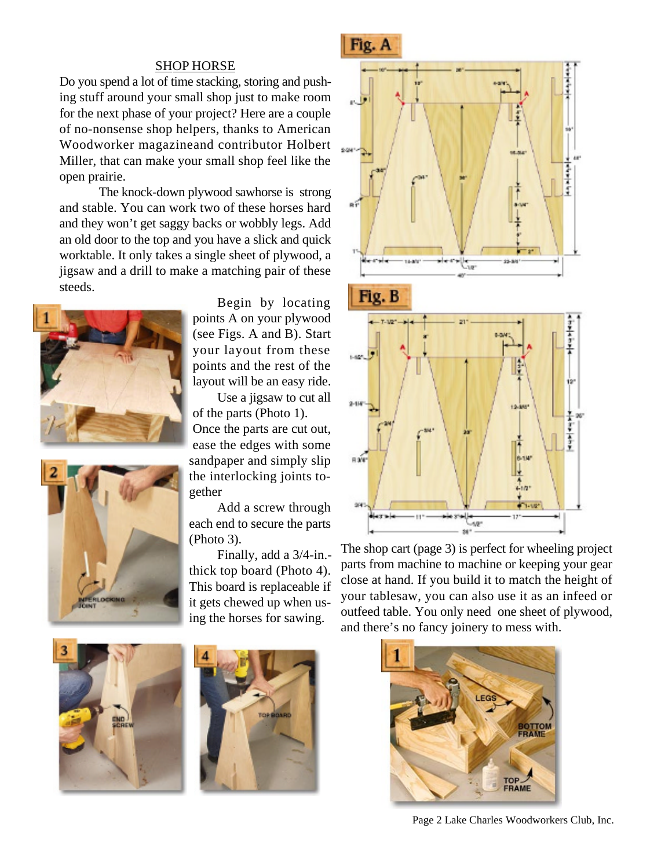## SHOP HORSE

Do you spend a lot of time stacking, storing and pushing stuff around your small shop just to make room for the next phase of your project? Here are a couple of no-nonsense shop helpers, thanks to American Woodworker magazineand contributor Holbert Miller, that can make your small shop feel like the open prairie.

The knock-down plywood sawhorse is strong and stable. You can work two of these horses hard and they won't get saggy backs or wobbly legs. Add an old door to the top and you have a slick and quick worktable. It only takes a single sheet of plywood, a jigsaw and a drill to make a matching pair of these steeds.





Begin by locating points A on your plywood (see Figs. A and B). Start your layout from these points and the rest of the layout will be an easy ride.

Use a jigsaw to cut all of the parts (Photo 1). Once the parts are cut out, ease the edges with some sandpaper and simply slip the interlocking joints together

Add a screw through each end to secure the parts (Photo 3).

Finally, add a 3/4-in. thick top board (Photo 4). This board is replaceable if it gets chewed up when using the horses for sawing.



The shop cart (page 3) is perfect for wheeling project parts from machine to machine or keeping your gear close at hand. If you build it to match the height of your tablesaw, you can also use it as an infeed or outfeed table. You only need one sheet of plywood, and there's no fancy joinery to mess with.

 $\mathcal{M}$ se: